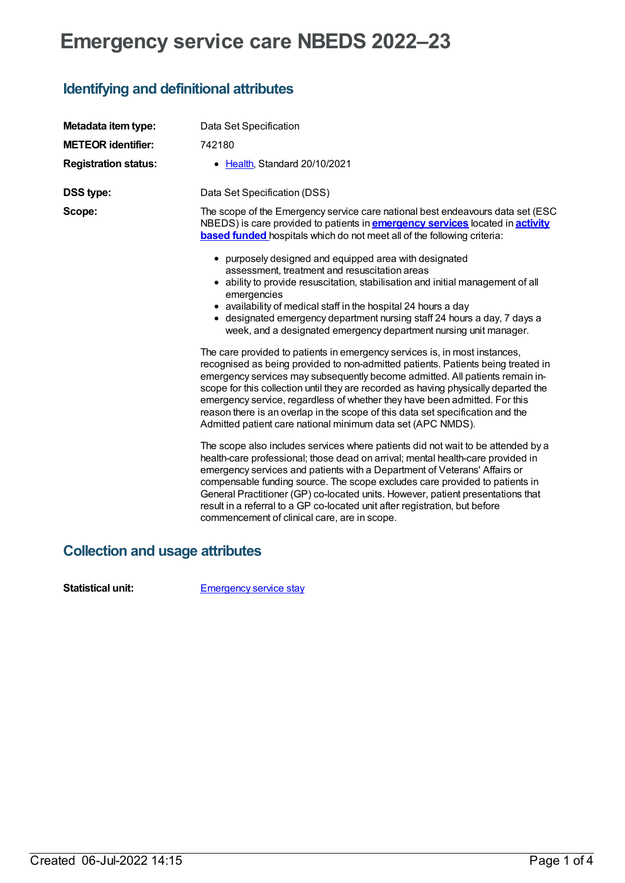## **Emergency service care NBEDS 2022–23**

## **Identifying and definitional attributes**

| Metadata item type:         | Data Set Specification                                                                                                                                                                                                                                                                                                                                                                                                                                                                                                                                               |
|-----------------------------|----------------------------------------------------------------------------------------------------------------------------------------------------------------------------------------------------------------------------------------------------------------------------------------------------------------------------------------------------------------------------------------------------------------------------------------------------------------------------------------------------------------------------------------------------------------------|
| <b>METEOR identifier:</b>   | 742180                                                                                                                                                                                                                                                                                                                                                                                                                                                                                                                                                               |
| <b>Registration status:</b> | • Health, Standard 20/10/2021                                                                                                                                                                                                                                                                                                                                                                                                                                                                                                                                        |
| <b>DSS type:</b>            | Data Set Specification (DSS)                                                                                                                                                                                                                                                                                                                                                                                                                                                                                                                                         |
| Scope:                      | The scope of the Emergency service care national best endeavours data set (ESC)<br>NBEDS) is care provided to patients in <b>emergency services</b> located in <b>activity</b><br><b>based funded</b> hospitals which do not meet all of the following criteria:                                                                                                                                                                                                                                                                                                     |
|                             | • purposely designed and equipped area with designated<br>assessment, treatment and resuscitation areas                                                                                                                                                                                                                                                                                                                                                                                                                                                              |
|                             | • ability to provide resuscitation, stabilisation and initial management of all<br>emergencies                                                                                                                                                                                                                                                                                                                                                                                                                                                                       |
|                             | • availability of medical staff in the hospital 24 hours a day<br>• designated emergency department nursing staff 24 hours a day, 7 days a<br>week, and a designated emergency department nursing unit manager.                                                                                                                                                                                                                                                                                                                                                      |
|                             | The care provided to patients in emergency services is, in most instances,<br>recognised as being provided to non-admitted patients. Patients being treated in<br>emergency services may subsequently become admitted. All patients remain in-<br>scope for this collection until they are recorded as having physically departed the<br>emergency service, regardless of whether they have been admitted. For this<br>reason there is an overlap in the scope of this data set specification and the<br>Admitted patient care national minimum data set (APC NMDS). |
|                             | The scope also includes services where patients did not wait to be attended by a<br>health-care professional; those dead on arrival; mental health-care provided in<br>emergency services and patients with a Department of Veterans' Affairs or<br>compensable funding source. The scope excludes care provided to patients in<br>General Practitioner (GP) co-located units. However, patient presentations that<br>result in a referral to a GP co-located unit after registration, but before<br>commencement of clinical care, are in scope.                    |

## **Collection and usage attributes**

**Statistical unit:** [Emergency](file:///content/745186) service stay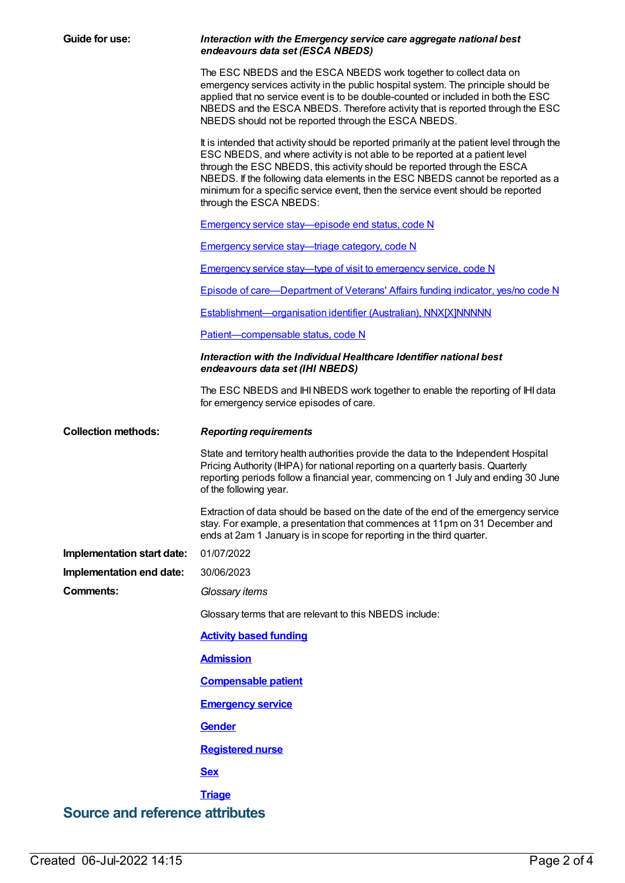| <b>Guide for use:</b>      | Interaction with the Emergency service care aggregate national best<br>endeavours data set (ESCA NBEDS)                                                                                                                                                                                                                                                                                                                                               |  |  |
|----------------------------|-------------------------------------------------------------------------------------------------------------------------------------------------------------------------------------------------------------------------------------------------------------------------------------------------------------------------------------------------------------------------------------------------------------------------------------------------------|--|--|
|                            | The ESC NBEDS and the ESCA NBEDS work together to collect data on<br>emergency services activity in the public hospital system. The principle should be<br>applied that no service event is to be double-counted or included in both the ESC<br>NBEDS and the ESCA NBEDS. Therefore activity that is reported through the ESC<br>NBEDS should not be reported through the ESCA NBEDS.                                                                 |  |  |
|                            | It is intended that activity should be reported primarily at the patient level through the<br>ESC NBEDS, and where activity is not able to be reported at a patient level<br>through the ESC NBEDS, this activity should be reported through the ESCA<br>NBEDS. If the following data elements in the ESC NBEDS cannot be reported as a<br>minimum for a specific service event, then the service event should be reported<br>through the ESCA NBEDS: |  |  |
|                            | <b>Emergency service stay—episode end status, code N</b>                                                                                                                                                                                                                                                                                                                                                                                              |  |  |
|                            | <b>Emergency service stay—triage category, code N</b>                                                                                                                                                                                                                                                                                                                                                                                                 |  |  |
|                            | Emergency service stay—type of visit to emergency service, code N                                                                                                                                                                                                                                                                                                                                                                                     |  |  |
|                            | <b>Episode of care—Department of Veterans' Affairs funding indicator, yes/no code N</b>                                                                                                                                                                                                                                                                                                                                                               |  |  |
|                            | Establishment-organisation identifier (Australian), NNX[X]NNNNN                                                                                                                                                                                                                                                                                                                                                                                       |  |  |
|                            | Patient-compensable status, code N                                                                                                                                                                                                                                                                                                                                                                                                                    |  |  |
|                            | Interaction with the Individual Healthcare Identifier national best<br>endeavours data set (IHI NBEDS)                                                                                                                                                                                                                                                                                                                                                |  |  |
|                            | The ESC NBEDS and IHI NBEDS work together to enable the reporting of IHI data<br>for emergency service episodes of care.                                                                                                                                                                                                                                                                                                                              |  |  |
|                            |                                                                                                                                                                                                                                                                                                                                                                                                                                                       |  |  |
| <b>Collection methods:</b> | <b>Reporting requirements</b>                                                                                                                                                                                                                                                                                                                                                                                                                         |  |  |
|                            | State and territory health authorities provide the data to the Independent Hospital<br>Pricing Authority (IHPA) for national reporting on a quarterly basis. Quarterly<br>reporting periods follow a financial year, commencing on 1 July and ending 30 June<br>of the following year.                                                                                                                                                                |  |  |
|                            | Extraction of data should be based on the date of the end of the emergency service<br>stay. For example, a presentation that commences at 11pm on 31 December and<br>ends at 2am 1 January is in scope for reporting in the third quarter.                                                                                                                                                                                                            |  |  |
| Implementation start date: | 01/07/2022                                                                                                                                                                                                                                                                                                                                                                                                                                            |  |  |
| Implementation end date:   | 30/06/2023                                                                                                                                                                                                                                                                                                                                                                                                                                            |  |  |
| Comments:                  | Glossary items                                                                                                                                                                                                                                                                                                                                                                                                                                        |  |  |
|                            | Glossary terms that are relevant to this NBEDS include:                                                                                                                                                                                                                                                                                                                                                                                               |  |  |
|                            | <b>Activity based funding</b>                                                                                                                                                                                                                                                                                                                                                                                                                         |  |  |
|                            | <b>Admission</b>                                                                                                                                                                                                                                                                                                                                                                                                                                      |  |  |
|                            | <b>Compensable patient</b>                                                                                                                                                                                                                                                                                                                                                                                                                            |  |  |
|                            | <b>Emergency service</b>                                                                                                                                                                                                                                                                                                                                                                                                                              |  |  |
|                            | <b>Gender</b>                                                                                                                                                                                                                                                                                                                                                                                                                                         |  |  |
|                            | <b>Registered nurse</b>                                                                                                                                                                                                                                                                                                                                                                                                                               |  |  |
|                            | <b>Sex</b>                                                                                                                                                                                                                                                                                                                                                                                                                                            |  |  |
|                            | <b>Triage</b>                                                                                                                                                                                                                                                                                                                                                                                                                                         |  |  |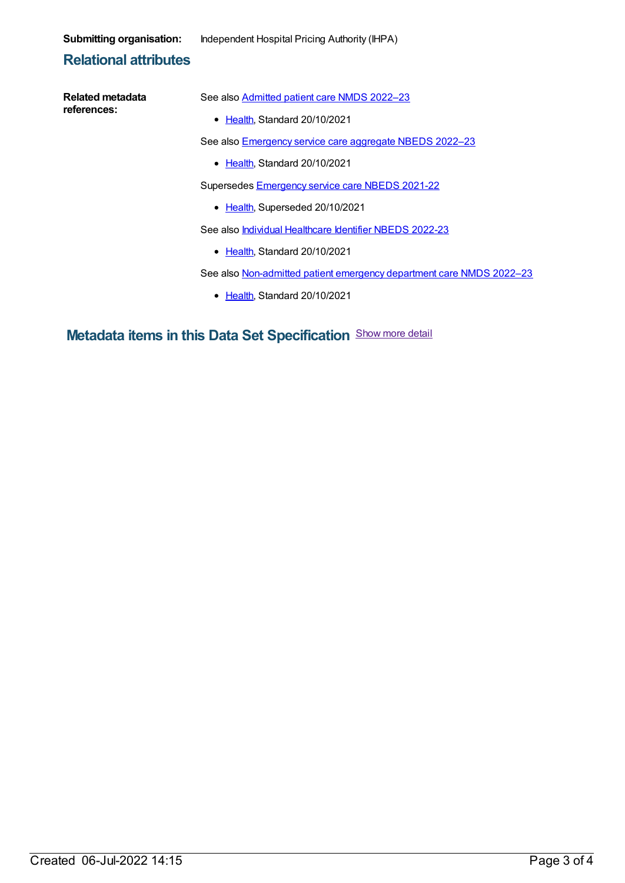**Submitting organisation:** Independent Hospital Pricing Authority (IHPA)

## **Relational attributes**

| Related metadata                                                         | See also Admitted patient care NMDS 2022-23                          |  |  |
|--------------------------------------------------------------------------|----------------------------------------------------------------------|--|--|
| references:                                                              | • Health, Standard 20/10/2021                                        |  |  |
|                                                                          | See also <b>Emergency service care aggregate NBEDS 2022-23</b>       |  |  |
|                                                                          | • Health, Standard 20/10/2021                                        |  |  |
|                                                                          | Supersedes Emergency service care NBEDS 2021-22                      |  |  |
|                                                                          | • Health, Superseded 20/10/2021                                      |  |  |
|                                                                          | See also <i>Individual Healthcare Identifier NBEDS 2022-23</i>       |  |  |
|                                                                          | • Health, Standard 20/10/2021                                        |  |  |
|                                                                          | See also Non-admitted patient emergency department care NMDS 2022-23 |  |  |
|                                                                          | • Health, Standard 20/10/2021                                        |  |  |
|                                                                          |                                                                      |  |  |
| Show more detail<br><b>Metadata items in this Data Set Specification</b> |                                                                      |  |  |